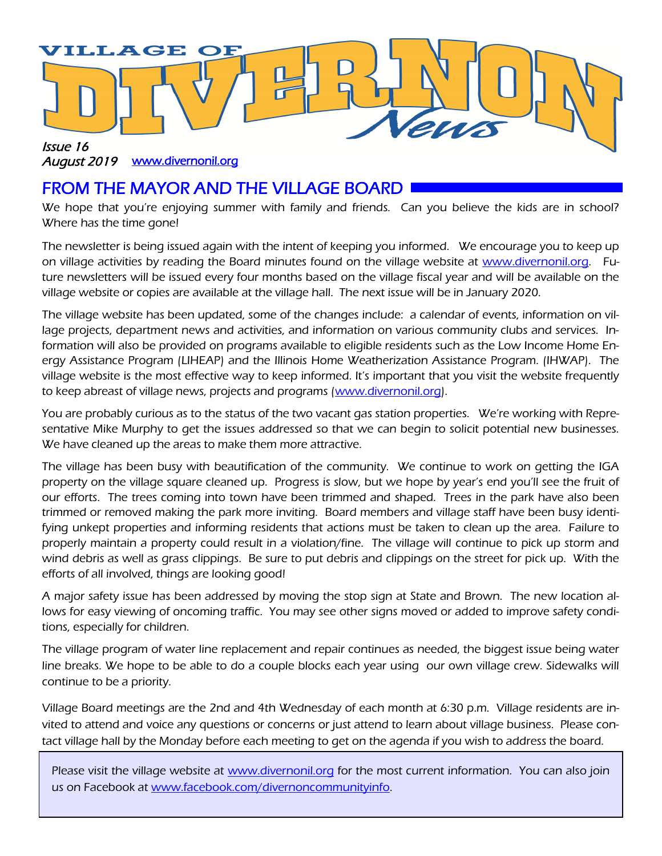

#### August 2019 www.divernonil.org

### FROM THE MAYOR AND THE VILLAGE BOARD

We hope that you're enjoying summer with family and friends. Can you believe the kids are in school? Where has the time gone!

The newsletter is being issued again with the intent of keeping you informed. We encourage you to keep up on village activities by reading the Board minutes found on the village website at www.divernonil.org. Future newsletters will be issued every four months based on the village fiscal year and will be available on the village website or copies are available at the village hall. The next issue will be in January 2020.

The village website has been updated, some of the changes include: a calendar of events, information on village projects, department news and activities, and information on various community clubs and services. Information will also be provided on programs available to eligible residents such as the Low Income Home Energy Assistance Program (LIHEAP) and the Illinois Home Weatherization Assistance Program. (IHWAP). The village website is the most effective way to keep informed. It's important that you visit the website frequently to keep abreast of village news, projects and programs (www.divernonil.org).

You are probably curious as to the status of the two vacant gas station properties. We're working with Representative Mike Murphy to get the issues addressed so that we can begin to solicit potential new businesses. We have cleaned up the areas to make them more attractive.

The village has been busy with beautification of the community. We continue to work on getting the IGA property on the village square cleaned up. Progress is slow, but we hope by year's end you'll see the fruit of our efforts. The trees coming into town have been trimmed and shaped. Trees in the park have also been trimmed or removed making the park more inviting. Board members and village staff have been busy identifying unkept properties and informing residents that actions must be taken to clean up the area. Failure to properly maintain a property could result in a violation/fine. The village will continue to pick up storm and wind debris as well as grass clippings. Be sure to put debris and clippings on the street for pick up. With the efforts of all involved, things are looking good!

A major safety issue has been addressed by moving the stop sign at State and Brown. The new location allows for easy viewing of oncoming traffic. You may see other signs moved or added to improve safety conditions, especially for children.

The village program of water line replacement and repair continues as needed, the biggest issue being water line breaks. We hope to be able to do a couple blocks each year using our own village crew. Sidewalks will continue to be a priority.

Village Board meetings are the 2nd and 4th Wednesday of each month at 6:30 p.m. Village residents are invited to attend and voice any questions or concerns or just attend to learn about village business. Please contact village hall by the Monday before each meeting to get on the agenda if you wish to address the board.

Please visit the village website at www.divernonil.org for the most current information. You can also join us on Facebook at www.facebook.com/divernoncommunityinfo.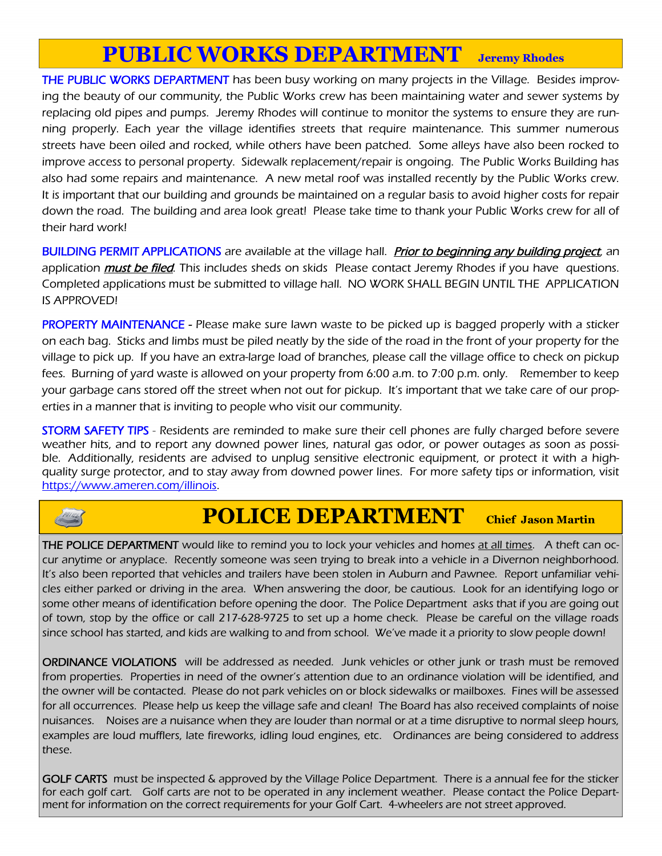## **PUBLIC WORKS DEPARTMENT Jeremy Rhodes**

THE PUBLIC WORKS DEPARTMENT has been busy working on many projects in the Village. Besides improving the beauty of our community, the Public Works crew has been maintaining water and sewer systems by replacing old pipes and pumps. Jeremy Rhodes will continue to monitor the systems to ensure they are running properly. Each year the village identifies streets that require maintenance. This summer numerous streets have been oiled and rocked, while others have been patched. Some alleys have also been rocked to improve access to personal property. Sidewalk replacement/repair is ongoing. The Public Works Building has also had some repairs and maintenance. A new metal roof was installed recently by the Public Works crew. It is important that our building and grounds be maintained on a regular basis to avoid higher costs for repair down the road. The building and area look great! Please take time to thank your Public Works crew for all of their hard work!

BUILDING PERMIT APPLICATIONS are available at the village hall. *Prior to beginning any building project*, an application *must be filed*. This includes sheds on skids Please contact Jeremy Rhodes if you have questions. Completed applications must be submitted to village hall. NO WORK SHALL BEGIN UNTIL THE APPLICATION IS APPROVED!

**PROPERTY MAINTENANCE** - Please make sure lawn waste to be picked up is bagged properly with a sticker on each bag. Sticks and limbs must be piled neatly by the side of the road in the front of your property for the village to pick up. If you have an extra-large load of branches, please call the village office to check on pickup fees. Burning of yard waste is allowed on your property from 6:00 a.m. to 7:00 p.m. only. Remember to keep your garbage cans stored off the street when not out for pickup. It's important that we take care of our properties in a manner that is inviting to people who visit our community.

STORM SAFETY TIPS - Residents are reminded to make sure their cell phones are fully charged before severe weather hits, and to report any downed power lines, natural gas odor, or power outages as soon as possible. Additionally, residents are advised to unplug sensitive electronic equipment, or protect it with a highquality surge protector, and to stay away from downed power lines. For more safety tips or information, visit https://www.ameren.com/illinois.



### **POLICE DEPARTMENT Chief Jason Martin**

THE POLICE DEPARTMENT would like to remind you to lock your vehicles and homes at all times. A theft can occur anytime or anyplace. Recently someone was seen trying to break into a vehicle in a Divernon neighborhood. It's also been reported that vehicles and trailers have been stolen in Auburn and Pawnee. Report unfamiliar vehicles either parked or driving in the area. When answering the door, be cautious. Look for an identifying logo or some other means of identification before opening the door. The Police Department asks that if you are going out of town, stop by the office or call 217-628-9725 to set up a home check. Please be careful on the village roads since school has started, and kids are walking to and from school. We've made it a priority to slow people down!

ORDINANCE VIOLATIONS will be addressed as needed. Junk vehicles or other junk or trash must be removed from properties. Properties in need of the owner's attention due to an ordinance violation will be identified, and the owner will be contacted. Please do not park vehicles on or block sidewalks or mailboxes. Fines will be assessed for all occurrences. Please help us keep the village safe and clean! The Board has also received complaints of noise nuisances. Noises are a nuisance when they are louder than normal or at a time disruptive to normal sleep hours, examples are loud mufflers, late fireworks, idling loud engines, etc. Ordinances are being considered to address these.

GOLF CARTS must be inspected & approved by the Village Police Department. There is a annual fee for the sticker for each golf cart. Golf carts are not to be operated in any inclement weather. Please contact the Police Department for information on the correct requirements for your Golf Cart. 4-wheelers are not street approved.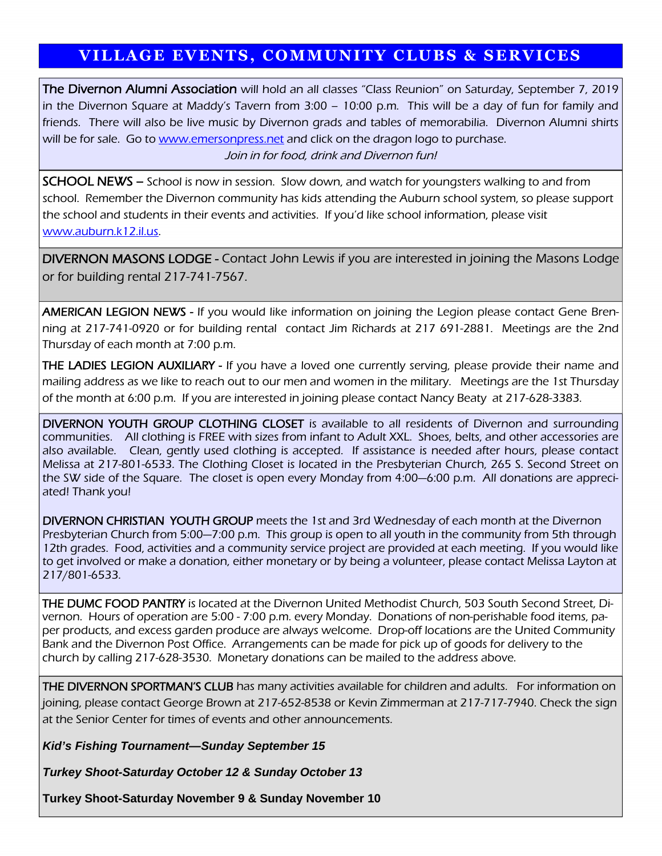### **VILLAGE EVENTS, COMMUNITY CLUBS & SERVICES**

The Divernon Alumni Association will hold an all classes "Class Reunion" on Saturday, September 7, 2019 in the Divernon Square at Maddy's Tavern from 3:00 – 10:00 p.m. This will be a day of fun for family and friends. There will also be live music by Divernon grads and tables of memorabilia. Divernon Alumni shirts will be for sale. Go to www.emersonpress.net and click on the dragon logo to purchase. Join in for food, drink and Divernon fun!

**SCHOOL NEWS** – School is now in session. Slow down, and watch for youngsters walking to and from school. Remember the Divernon community has kids attending the Auburn school system, so please support the school and students in their events and activities. If you'd like school information, please visit www.auburn.k12.il.us.

DIVERNON MASONS LODGE - Contact John Lewis if you are interested in joining the Masons Lodge or for building rental 217-741-7567.

AMERICAN LEGION NEWS - If you would like information on joining the Legion please contact Gene Brenning at 217-741-0920 or for building rental contact Jim Richards at 217 691-2881. Meetings are the 2nd Thursday of each month at 7:00 p.m.

**THE LADIES LEGION AUXILIARY - If you have a loved one currently serving, please provide their name and** mailing address as we like to reach out to our men and women in the military. Meetings are the 1st Thursday of the month at 6:00 p.m. If you are interested in joining please contact Nancy Beaty at 217-628-3383.

DIVERNON YOUTH GROUP CLOTHING CLOSET is available to all residents of Divernon and surrounding communities. All clothing is FREE with sizes from infant to Adult XXL. Shoes, belts, and other accessories are also available. Clean, gently used clothing is accepted. If assistance is needed after hours, please contact Melissa at 217-801-6533. The Clothing Closet is located in the Presbyterian Church, 265 S. Second Street on the SW side of the Square. The closet is open every Monday from 4:00—6:00 p.m. All donations are appreciated! Thank you!

DIVERNON CHRISTIAN YOUTH GROUP meets the 1st and 3rd Wednesday of each month at the Divernon Presbyterian Church from 5:00—7:00 p.m. This group is open to all youth in the community from 5th through 12th grades. Food, activities and a community service project are provided at each meeting. If you would like to get involved or make a donation, either monetary or by being a volunteer, please contact Melissa Layton at 217/801-6533.

THE DUMC FOOD PANTRY is located at the Divernon United Methodist Church, 503 South Second Street, Divernon. Hours of operation are 5:00 - 7:00 p.m. every Monday. Donations of non-perishable food items, paper products, and excess garden produce are always welcome. Drop-off locations are the United Community Bank and the Divernon Post Office. Arrangements can be made for pick up of goods for delivery to the church by calling 217-628-3530. Monetary donations can be mailed to the address above.

**THE DIVERNON SPORTMAN'S CLUB** has many activities available for children and adults. For information on joining, please contact George Brown at 217-652-8538 or Kevin Zimmerman at 217-717-7940. Check the sign at the Senior Center for times of events and other announcements.

*Kid's Fishing Tournament—Sunday September 15*

*Turkey Shoot-Saturday October 12 & Sunday October 13*

**Turkey Shoot-Saturday November 9 & Sunday November 10**